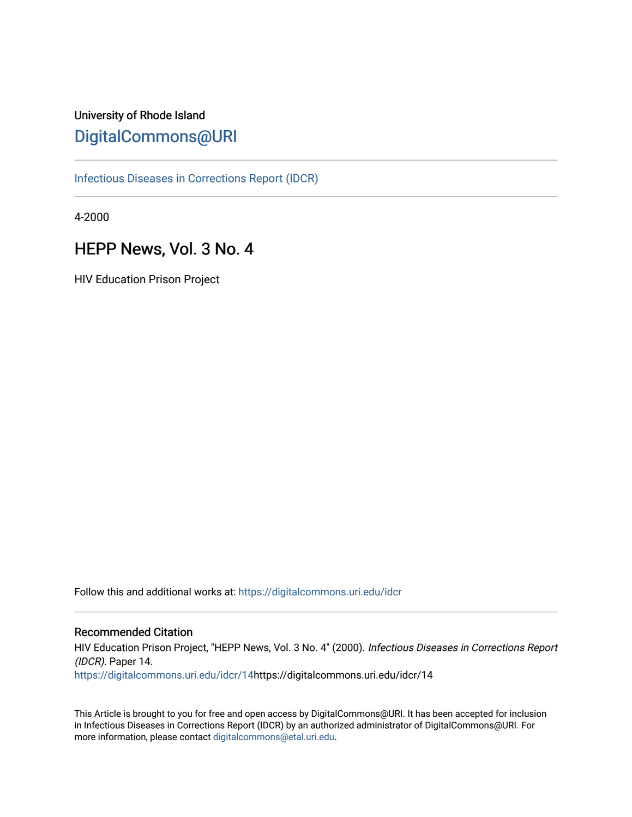# University of Rhode Island [DigitalCommons@URI](https://digitalcommons.uri.edu/)

[Infectious Diseases in Corrections Report \(IDCR\)](https://digitalcommons.uri.edu/idcr)

4-2000

# HEPP News, Vol. 3 No. 4

HIV Education Prison Project

Follow this and additional works at: [https://digitalcommons.uri.edu/idcr](https://digitalcommons.uri.edu/idcr?utm_source=digitalcommons.uri.edu%2Fidcr%2F14&utm_medium=PDF&utm_campaign=PDFCoverPages)

## Recommended Citation

HIV Education Prison Project, "HEPP News, Vol. 3 No. 4" (2000). Infectious Diseases in Corrections Report (IDCR). Paper 14. [https://digitalcommons.uri.edu/idcr/14h](https://digitalcommons.uri.edu/idcr/14?utm_source=digitalcommons.uri.edu%2Fidcr%2F14&utm_medium=PDF&utm_campaign=PDFCoverPages)ttps://digitalcommons.uri.edu/idcr/14

This Article is brought to you for free and open access by DigitalCommons@URI. It has been accepted for inclusion in Infectious Diseases in Corrections Report (IDCR) by an authorized administrator of DigitalCommons@URI. For more information, please contact [digitalcommons@etal.uri.edu.](mailto:digitalcommons@etal.uri.edu)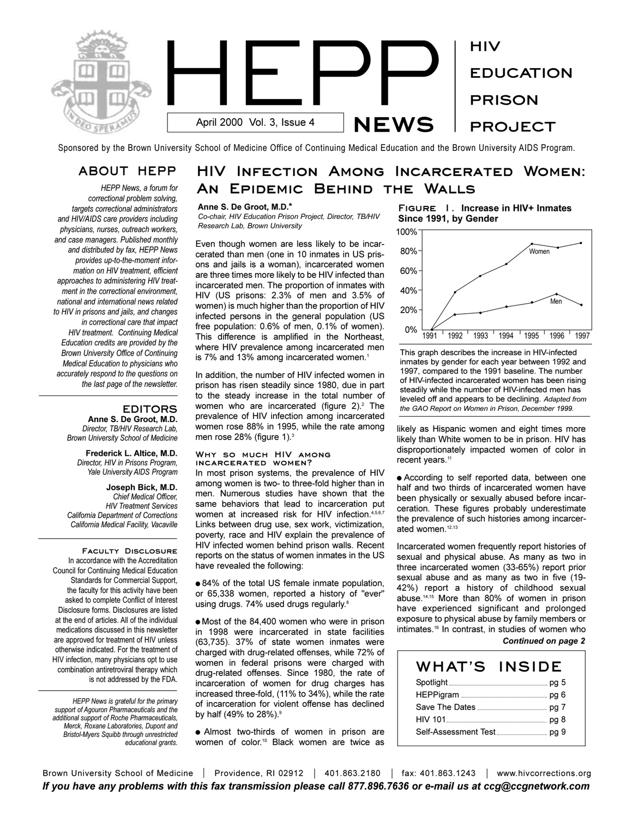

Sponsored by the Brown University School of Medicine Office of Continuing Medical Education and the Brown University AIDS Program.

# **ABOUT HEPP**

*HEPP News, a forum for correctional problem solving, targets correctional administrators and HIV/AIDS care providers including physicians, nurses, outreach workers, and case managers. Published monthly and distributed by fax, HEPP News provides up-to-the-moment information on HIV treatment, efficient approaches to administering HIV treatment in the correctional environment, national and international news related to HIV in prisons and jails, and changes in correctional care that impact HIV treatment. Continuing Medical Education credits are provided by the Brown University Office of Continuing Medical Education to physicians who accurately respond to the questions on the last page of the newsletter.* 

## **EDITORS**

**Anne S. De Groot, M.D.** *Director, TB/HIV Research Lab, Brown University School of Medicine*

**Frederick L. Altice, M.D.** *Director, HIV in Prisons Program, Yale University AIDS Program*

**Joseph Bick, M.D.** *Chief Medical Officer, HIV Treatment Services California Department of Corrections California Medical Facility, Vacaville*

**Faculty Disclosure**  In accordance with the Accreditation Council for Continuing Medical Education Standards for Commercial Support, the faculty for this activity have been asked to complete Conflict of Interest Disclosure forms. Disclosures are listed at the end of articles. All of the individual medications discussed in this newsletter are approved for treatment of HIV unless otherwise indicated. For the treatment of HIV infection, many physicians opt to use combination antiretroviral therapy which is not addressed by the FDA.

*HEPP News is grateful for the primary support of Agouron Pharmaceuticals and the additional support of Roche Pharmaceuticals, Merck, Roxane Laboratories, Dupont and Bristol-Myers Squibb through unrestricted educational grants.*

# **HIV Infection Among Incarcerated Women: An Epidemic Behind the Walls**

#### **Anne S. De Groot, M.D.\***

*Co-chair, HIV Education Prison Project, Director, TB/HIV Research Lab, Brown University*

Even though women are less likely to be incarcerated than men (one in 10 inmates in US prisons and jails is a woman), incarcerated women are three times more likely to be HIV infected than incarcerated men. The proportion of inmates with HIV (US prisons: 2.3% of men and 3.5% of women) is much higher than the proportion of HIV infected persons in the general population (US free population: 0.6% of men, 0.1% of women). This difference is amplified in the Northeast, where HIV prevalence among incarcerated men is 7% and 13% among incarcerated women.<sup>1</sup>

In addition, the number of HIV infected women in prison has risen steadily since 1980, due in part to the steady increase in the total number of women who are incarcerated (figure  $2$ ).<sup>2</sup> The prevalence of HIV infection among incarcerated women rose 88% in 1995, while the rate among men rose 28% (figure 1).<sup>3</sup>

#### **Why so much HIV among incarcerated women?**

In most prison systems, the prevalence of HIV among women is two- to three-fold higher than in men. Numerous studies have shown that the same behaviors that lead to incarceration put women at increased risk for HIV infection.<sup>4,5,6,7</sup> Links between drug use, sex work, victimization, poverty, race and HIV explain the prevalence of HIV infected women behind prison walls. Recent reports on the status of women inmates in the US have revealed the following:

 $\bullet$  84% of the total US female inmate population, or 65,338 women, reported a history of "ever" using drugs. 74% used drugs regularly.<sup>8</sup>

 $\bullet$  Most of the 84,400 women who were in prison in 1998 were incarcerated in state facilities (63,735). 37% of state women inmates were charged with drug-related offenses, while 72% of women in federal prisons were charged with drug-related offenses. Since 1980, the rate of incarceration of women for drug charges has increased three-fold, (11% to 34%), while the rate of incarceration for violent offense has declined by half (49% to 28%).<sup>9</sup>

• Almost two-thirds of women in prison are women of color.10 Black women are twice as **Figure 1. Increase in HIV+ Inmates Since 1991, by Gender**



This graph describes the increase in HIV-infected inmates by gender for each year between 1992 and 1997, compared to the 1991 baseline. The number of HIV-infected incarcerated women has been rising steadily while the number of HIV-infected men has leveled off and appears to be declining. *Adapted from the GAO Report on Women in Prison, December 1999.*

likely as Hispanic women and eight times more likely than White women to be in prison. HIV has disproportionately impacted women of color in recent years.<sup>11</sup>

• According to self reported data, between one half and two thirds of incarcerated women have been physically or sexually abused before incarceration. These figures probably underestimate the prevalence of such histories among incarcerated women.<sup>12,13</sup>

Incarcerated women frequently report histories of sexual and physical abuse. As many as two in three incarcerated women (33-65%) report prior sexual abuse and as many as two in five (19- 42%) report a history of childhood sexual abuse.14,15 More than 80% of women in prison have experienced significant and prolonged exposure to physical abuse by family members or intimates.<sup>16</sup> In contrast, in studies of women who

### *Continued on page 2*

| WHAT'S | <b>INSIDE</b> |
|--------|---------------|
|        |               |
|        |               |
|        |               |
|        |               |
|        |               |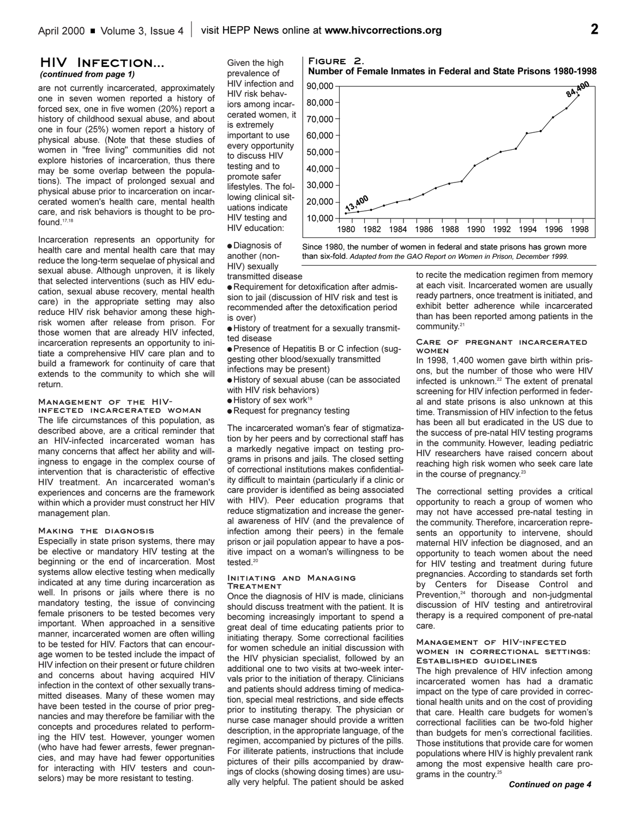### **HIV Infection...**  *(continued from page 1)*

are not currently incarcerated, approximately one in seven women reported a history of forced sex, one in five women (20%) report a history of childhood sexual abuse, and about one in four (25%) women report a history of physical abuse. (Note that these studies of women in "free living" communities did not explore histories of incarceration, thus there may be some overlap between the populations). The impact of prolonged sexual and physical abuse prior to incarceration on incarcerated women's health care, mental health care, and risk behaviors is thought to be profound.17,18

Incarceration represents an opportunity for health care and mental health care that may reduce the long-term sequelae of physical and sexual abuse. Although unproven, it is likely that selected interventions (such as HIV education, sexual abuse recovery, mental health care) in the appropriate setting may also reduce HIV risk behavior among these highrisk women after release from prison. For those women that are already HIV infected, incarceration represents an opportunity to initiate a comprehensive HIV care plan and to build a framework for continuity of care that extends to the community to which she will return.

### **Management of the HIV-**

**infected incarcerated woman** The life circumstances of this population, as described above, are a critical reminder that an HIV-infected incarcerated woman has many concerns that affect her ability and willingness to engage in the complex course of intervention that is characteristic of effective HIV treatment. An incarcerated woman's experiences and concerns are the framework within which a provider must construct her HIV management plan.

#### **Making the diagnosis**

Especially in state prison systems, there may be elective or mandatory HIV testing at the beginning or the end of incarceration. Most systems allow elective testing when medically indicated at any time during incarceration as well. In prisons or jails where there is no mandatory testing, the issue of convincing female prisoners to be tested becomes very important. When approached in a sensitive manner, incarcerated women are often willing to be tested for HIV. Factors that can encourage women to be tested include the impact of HIV infection on their present or future children and concerns about having acquired HIV infection in the context of other sexually transmitted diseases. Many of these women may have been tested in the course of prior pregnancies and may therefore be familiar with the concepts and procedures related to performing the HIV test. However, younger women (who have had fewer arrests, fewer pregnancies, and may have had fewer opportunities for interacting with HIV testers and counselors) may be more resistant to testing.

Given the high prevalence of HIV infection and HIV risk behaviors among incarcerated women, it is extremely important to use every opportunity to discuss HIV testing and to promote safer lifestyles. The following clinical situations indicate HIV testing and HIV education:

**.** Diagnosis of another (non-HIV) sexually

transmitted disease

• Requirement for detoxification after admission to jail (discussion of HIV risk and test is recommended after the detoxification period is over)

 $\bullet$  History of treatment for a sexually transmitted disease

**• Presence of Hepatitis B or C infection (sug**gesting other blood/sexually transmitted infections may be present)

- $\bullet$  History of sexual abuse (can be associated with HIV risk behaviors)
- $\bullet$  History of sex work<sup>19</sup>
- Request for pregnancy testing

The incarcerated woman's fear of stigmatization by her peers and by correctional staff has a markedly negative impact on testing programs in prisons and jails. The closed setting of correctional institutions makes confidentiality difficult to maintain (particularly if a clinic or care provider is identified as being associated with HIV). Peer education programs that reduce stigmatization and increase the general awareness of HIV (and the prevalence of infection among their peers) in the female prison or jail population appear to have a positive impact on a woman's willingness to be tested.<sup>20</sup>

#### **Initiating and Managing Treatment**

Once the diagnosis of HIV is made, clinicians should discuss treatment with the patient. It is becoming increasingly important to spend a great deal of time educating patients prior to initiating therapy. Some correctional facilities for women schedule an initial discussion with the HIV physician specialist, followed by an additional one to two visits at two-week intervals prior to the initiation of therapy. Clinicians and patients should address timing of medication, special meal restrictions, and side effects prior to instituting therapy. The physician or nurse case manager should provide a written description, in the appropriate language, of the regimen, accompanied by pictures of the pills. For illiterate patients, instructions that include pictures of their pills accompanied by drawings of clocks (showing dosing times) are usually very helpful. The patient should be asked



#### **Care of pregnant incarcerated women**

In 1998, 1,400 women gave birth within prisons, but the number of those who were HIV infected is unknown.<sup>22</sup> The extent of prenatal screening for HIV infection performed in federal and state prisons is also unknown at this time. Transmission of HIV infection to the fetus has been all but eradicated in the US due to the success of pre-natal HIV testing programs in the community. However, leading pediatric HIV researchers have raised concern about reaching high risk women who seek care late in the course of pregnancy.<sup>23</sup>

The correctional setting provides a critical opportunity to reach a group of women who may not have accessed pre-natal testing in the community. Therefore, incarceration represents an opportunity to intervene, should maternal HIV infection be diagnosed, and an opportunity to teach women about the need for HIV testing and treatment during future pregnancies. According to standards set forth by Centers for Disease Control and Prevention,<sup>24</sup> thorough and non-judgmental discussion of HIV testing and antiretroviral therapy is a required component of pre-natal care.

#### **Management of HIV-infected women in correctional settings: Established guidelines**

The high prevalence of HIV infection among incarcerated women has had a dramatic impact on the type of care provided in correctional health units and on the cost of providing that care. Health care budgets for women's correctional facilities can be two-fold higher than budgets for men's correctional facilities. Those institutions that provide care for women populations where HIV is highly prevalent rank among the most expensive health care programs in the country.<sup>25</sup>

#### *Continued on page 4*



Since 1980, the number of women in federal and state prisons has grown more than six-fold. *Adapted from the GAO Report on Women in Prison, December 1999.*

**Figure 2. Number of Female Inmates in Federal and State Prisons 1980-1998**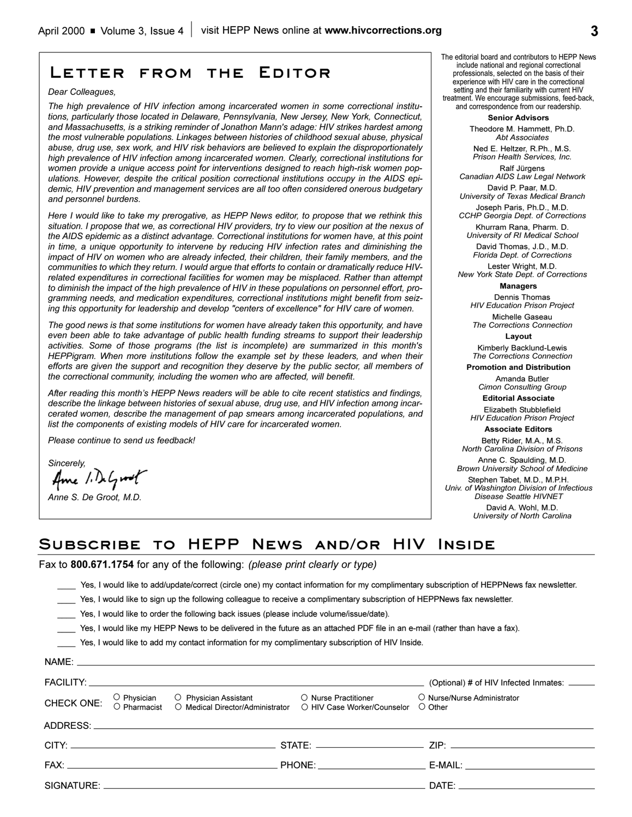**Letter from the Editor**

# The editorial board and contributors to HEPP News include national and regional correctional professionals, selected on the basis of their experience with HIV care in the correctional

setting and their familiarity with current HIV treatment. We encourage submissions, feed-back, and correspondence from our readership.

### **Senior Advisors**

Theodore M. Hammett, Ph.D. *Abt Associates*

Ned E. Heltzer, R.Ph., M.S. *Prison Health Services, Inc.* Ralf Jürgens

*Canadian AIDS Law Legal Network* David P. Paar, M.D.

*University of Texas Medical Branch* Joseph Paris, Ph.D., M.D.

*CCHP Georgia Dept. of Corrections* 

Khurram Rana, Pharm. D. *University of RI Medical School* David Thomas, J.D., M.D.

*Florida Dept. of Corrections* Lester Wright, M.D.

*New York State Dept. of Corrections* **Managers**

## Dennis Thomas

*HIV Education Prison Project* Michelle Gaseau

*The Corrections Connection* **Layout**

Kimberly Backlund-Lewis *The Corrections Connection*

**Promotion and Distribution**

Amanda Butler *Cimon Consulting Group*

**Editorial Associate** 

Elizabeth Stubblefield *HIV Education Prison Project*

**Associate Editors** Betty Rider, M.A., M.S.

*North Carolina Division of Prisons* Anne C. Spaulding, M.D.

*Brown University School of Medicine*

Stephen Tabet, M.D., M.P.H. *Univ. of Washington Division of Infectious Disease Seattle HIVNET*

> David A. Wohl, M.D. *University of North Carolina*

# **Subscribe to HEPP News and/or HIV Inside**

Fax to **800.671.1754** for any of the following: *(please print clearly or type)*

\_\_\_\_ Yes, I would like to add/update/correct (circle one) my contact information for my complimentary subscription of HEPPNews fax newsletter.

Yes, I would like to sign up the following colleague to receive a complimentary subscription of HEPPNews fax newsletter.

Yes, I would like to order the following back issues (please include volume/issue/date).

\_\_\_\_ Yes, I would like my HEPP News to be delivered in the future as an attached PDF file in an e-mail (rather than have a fax).

\_\_\_\_ Yes, I would like to add my contact information for my complimentary subscription of HIV Inside.

|            |                                                                                    |                                                     | (Optional) # of HIV Infected Inmates: ______ |
|------------|------------------------------------------------------------------------------------|-----------------------------------------------------|----------------------------------------------|
| CHECK ONE: | O Physician O Physician Assistant<br>O Pharmacist O Medical Director/Administrator | ◯ Nurse Practitioner<br>◯ HIV Case Worker/Counselor | O Nurse/Nurse Administrator<br>◯ Other       |
|            |                                                                                    |                                                     |                                              |
|            |                                                                                    |                                                     |                                              |
|            |                                                                                    |                                                     | E-MAIL: ___________________________________  |
|            |                                                                                    |                                                     |                                              |

### *Dear Colleagues,*

*The high prevalence of HIV infection among incarcerated women in some correctional institutions, particularly those located in Delaware, Pennsylvania, New Jersey, New York, Connecticut, and Massachusetts, is a striking reminder of Jonathon Mann's adage: HIV strikes hardest among the most vulnerable populations. Linkages between histories of childhood sexual abuse, physical abuse, drug use, sex work, and HIV risk behaviors are believed to explain the disproportionately high prevalence of HIV infection among incarcerated women. Clearly, correctional institutions for women provide a unique access point for interventions designed to reach high-risk women populations. However, despite the critical position correctional institutions occupy in the AIDS epidemic, HIV prevention and management services are all too often considered onerous budgetary and personnel burdens.* 

*Here I would like to take my prerogative, as HEPP News editor, to propose that we rethink this situation. I propose that we, as correctional HIV providers, try to view our position at the nexus of the AIDS epidemic as a distinct advantage. Correctional institutions for women have, at this point in time, a unique opportunity to intervene by reducing HIV infection rates and diminishing the impact of HIV on women who are already infected, their children, their family members, and the communities to which they return. I would argue that efforts to contain or dramatically reduce HIVrelated expenditures in correctional facilities for women may be misplaced. Rather than attempt to diminish the impact of the high prevalence of HIV in these populations on personnel effort, programming needs, and medication expenditures, correctional institutions might benefit from seizing this opportunity for leadership and develop "centers of excellence" for HIV care of women.* 

*The good news is that some institutions for women have already taken this opportunity, and have even been able to take advantage of public health funding streams to support their leadership activities. Some of those programs (the list is incomplete) are summarized in this month's HEPPigram. When more institutions follow the example set by these leaders, and when their efforts are given the support and recognition they deserve by the public sector, all members of the correctional community, including the women who are affected, will benefit.*

After reading this month's HEPP News readers will be able to cite recent statistics and findings, *describe the linkage between histories of sexual abuse, drug use, and HIV infection among incarcerated women, describe the management of pap smears among incarcerated populations, and list the components of existing models of HIV care for incarcerated women.*

*Please continue to send us feedback!*

*Sincerely,*

Ame 1. DeGroot

*Anne S. De Groot, M.D.*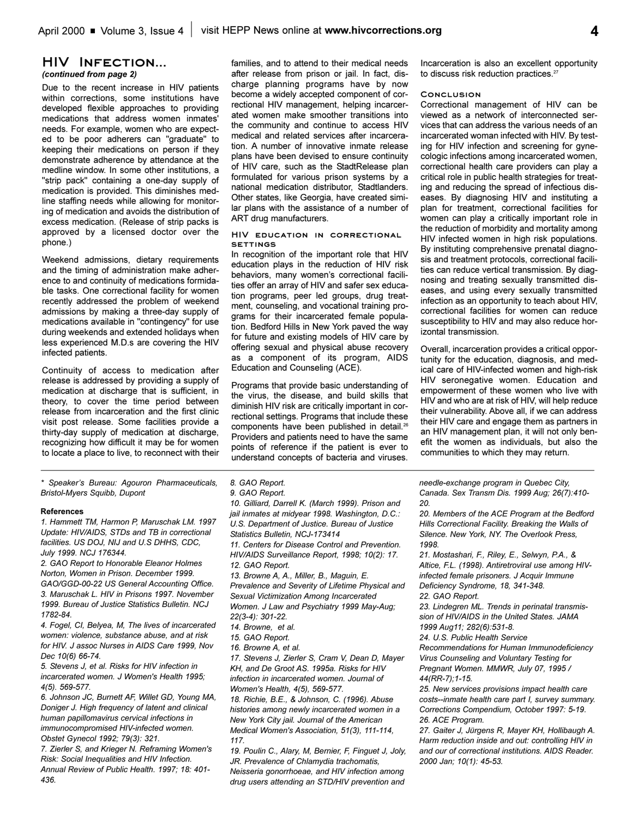### **HIV Infection...**  *(continued from page 2)*

Due to the recent increase in HIV patients within corrections, some institutions have developed flexible approaches to providing medications that address women inmates' needs. For example, women who are expected to be poor adherers can "graduate" to keeping their medications on person if they demonstrate adherence by attendance at the medline window. In some other institutions, a "strip pack" containing a one-day supply of medication is provided. This diminishes medline staffing needs while allowing for monitoring of medication and avoids the distribution of excess medication. (Release of strip packs is approved by a licensed doctor over the phone.)

Weekend admissions, dietary requirements and the timing of administration make adherence to and continuity of medications formidable tasks. One correctional facility for women recently addressed the problem of weekend admissions by making a three-day supply of medications available in "contingency" for use during weekends and extended holidays when less experienced M.D.s are covering the HIV infected patients.

Continuity of access to medication after release is addressed by providing a supply of medication at discharge that is sufficient, in theory, to cover the time period between release from incarceration and the first clinic visit post release. Some facilities provide a thirty-day supply of medication at discharge, recognizing how difficult it may be for women to locate a place to live, to reconnect with their

*\* Speakers Bureau: Agouron Pharmaceuticals, Bristol-Myers Squibb, Dupont*

### **References**

*1. Hammett TM, Harmon P, Maruschak LM. 1997 Update: HIV/AIDS, STDs and TB in correctional facilities. US DOJ, NIJ and U.S DHHS, CDC, July 1999. NCJ 176344.*

*2. GAO Report to Honorable Eleanor Holmes Norton, Women in Prison. December 1999. GAO/GGD-00-22 US General Accounting Office. 3. Maruschak L. HIV in Prisons 1997. November 1999. Bureau of Justice Statistics Bulletin. NCJ 1782-84.*

*4. Fogel, CI, Belyea, M, The lives of incarcerated women: violence, substance abuse, and at risk for HIV. J assoc Nurses in AIDS Care 1999, Nov Dec 10(6) 66-74.*

*5. Stevens J, et al. Risks for HIV infection in incarcerated women. J Women's Health 1995; 4(5). 569-577.* 

*6. Johnson JC, Burnett AF, Willet GD, Young MA, Doniger J. High frequency of latent and clinical human papillomavirus cervical infections in immunocompromised HIV-infected women. Obstet Gynecol 1992; 79(3): 321.*

*7. Zierler S, and Krieger N. Reframing Women's Risk: Social Inequalities and HIV Infection. Annual Review of Public Health. 1997; 18: 401- 436.*

families, and to attend to their medical needs after release from prison or jail. In fact, discharge planning programs have by now become a widely accepted component of correctional HIV management, helping incarcerated women make smoother transitions into the community and continue to access HIV medical and related services after incarceration. A number of innovative inmate release plans have been devised to ensure continuity of HIV care, such as the StadtRelease plan formulated for various prison systems by a national medication distributor, Stadtlanders. Other states, like Georgia, have created similar plans with the assistance of a number of ART drug manufacturers.

#### **HIV education in correctional settings**

In recognition of the important role that HIV education plays in the reduction of HIV risk behaviors, many women's correctional facilities offer an array of HIV and safer sex education programs, peer led groups, drug treatment, counseling, and vocational training programs for their incarcerated female population. Bedford Hills in New York paved the way for future and existing models of HIV care by offering sexual and physical abuse recovery as a component of its program, AIDS Education and Counseling (ACE).

Programs that provide basic understanding of the virus, the disease, and build skills that diminish HIV risk are critically important in correctional settings. Programs that include these components have been published in detail.<sup>26</sup> Providers and patients need to have the same points of reference if the patient is ever to understand concepts of bacteria and viruses.

Incarceration is also an excellent opportunity to discuss risk reduction practices.<sup>27</sup>

#### **Conclusion**

Correctional management of HIV can be viewed as a network of interconnected services that can address the various needs of an incarcerated woman infected with HIV. By testing for HIV infection and screening for gynecologic infections among incarcerated women, correctional health care providers can play a critical role in public health strategies for treating and reducing the spread of infectious diseases. By diagnosing HIV and instituting a plan for treatment, correctional facilities for women can play a critically important role in the reduction of morbidity and mortality among HIV infected women in high risk populations. By instituting comprehensive prenatal diagnosis and treatment protocols, correctional facilities can reduce vertical transmission. By diagnosing and treating sexually transmitted diseases, and using every sexually transmitted infection as an opportunity to teach about HIV, correctional facilities for women can reduce susceptibility to HIV and may also reduce horizontal transmission.

Overall, incarceration provides a critical opportunity for the education, diagnosis, and medical care of HIV-infected women and high-risk HIV seronegative women. Education and empowerment of these women who live with HIV and who are at risk of HIV, will help reduce their vulnerability. Above all, if we can address their HIV care and engage them as partners in an HIV management plan, it will not only benefit the women as individuals, but also the communities to which they may return.

*8. GAO Report.*

*9. GAO Report.*

*10. Gilliard, Darrell K. (March 1999). Prison and jail inmates at midyear 1998. Washington, D.C.: U.S. Department of Justice. Bureau of Justice Statistics Bulletin, NCJ-173414 11. Centers for Disease Control and Prevention.*

*HIV/AIDS Surveillance Report, 1998; 10(2): 17. 12. GAO Report.*

*13. Browne A, A., Miller, B., Maguin, E.*

*Prevalence and Severity of Lifetime Physical and Sexual Victimization Among Incarcerated Women. J Law and Psychiatry 1999 May-Aug;*

*22(3-4): 301-22. 14. Browne, et al.*

*15. GAO Report.*

*16. Browne A, et al.* 

*17. Stevens J, Zierler S, Cram V, Dean D, Mayer KH, and De Groot AS. 1995a. Risks for HIV infection in incarcerated women. Journal of Women's Health, 4(5), 569-577.*

*18. Richie, B.E., & Johnson, C. (1996). Abuse histories among newly incarcerated women in a New York City jail. Journal of the American Medical Women's Association, 51(3), 111-114, 117.*

*19. Poulin C., Alary, M, Bernier, F, Finguet J, Joly, JR. Prevalence of Chlamydia trachomatis, Neisseria gonorrhoeae, and HIV infection among drug users attending an STD/HIV prevention and*

*needle-exchange program in Quebec City, Canada. Sex Transm Dis. 1999 Aug; 26(7):410- 20.*

*20. Members of the ACE Program at the Bedford Hills Correctional Facility. Breaking the Walls of Silence. New York, NY. The Overlook Press, 1998.*

*21. Mostashari, F., Riley, E., Selwyn, P.A., & Altice, F.L. (1998). Antiretroviral use among HIVinfected female prisoners. J Acquir Immune Deficiency Syndrome, 18, 341-348.*

*22. GAO Report.*

*23. Lindegren ML. Trends in perinatal transmission of HIV/AIDS in the United States. JAMA 1999 Aug11; 282(6):531-8.*

*24. U.S. Public Health Service*

*Recommendations for Human Immunodeficiency Virus Counseling and Voluntary Testing for Pregnant Women. MMWR, July 07, 1995 / 44(RR-7);1-15.*

*25. New services provisions impact health care costs--inmate health care part I, survey summary. Corrections Compendium, October 1997: 5-19. 26. ACE Program.*

*27. Gaiter J, Jürgens R, Mayer KH, Hollibaugh A. Harm reduction inside and out: controlling HIV in and our of correctional institutions. AIDS Reader. 2000 Jan; 10(1): 45-53.*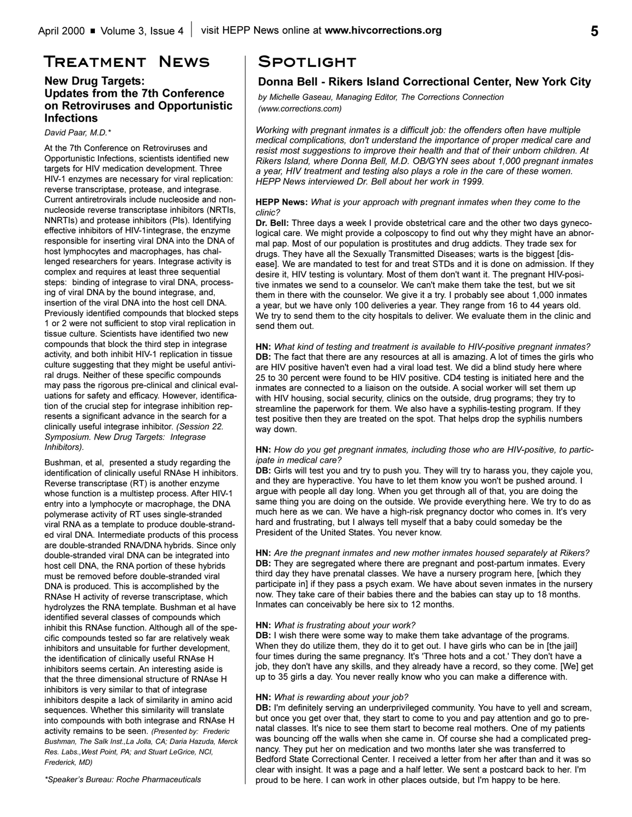# **Treatment News**

## **New Drug Targets: Updates from the 7th Conference on Retroviruses and Opportunistic Infections**

*David Paar, M.D.\**

At the 7th Conference on Retroviruses and Opportunistic Infections, scientists identified new targets for HIV medication development. Three HIV-1 enzymes are necessary for viral replication: reverse transcriptase, protease, and integrase. Current antiretrovirals include nucleoside and nonnucleoside reverse transcriptase inhibitors (NRTIs, NNRTIs) and protease inhibitors (PIs). Identifying effective inhibitors of HIV-1integrase, the enzyme responsible for inserting viral DNA into the DNA of host lymphocytes and macrophages, has challenged researchers for years. Integrase activity is complex and requires at least three sequential steps: binding of integrase to viral DNA, processing of viral DNA by the bound integrase, and, insertion of the viral DNA into the host cell DNA. Previously identified compounds that blocked steps 1 or 2 were not sufficient to stop viral replication in tissue culture. Scientists have identified two new compounds that block the third step in integrase activity, and both inhibit HIV-1 replication in tissue culture suggesting that they might be useful antiviral drugs. Neither of these specific compounds may pass the rigorous pre-clinical and clinical evaluations for safety and efficacy. However, identification of the crucial step for integrase inhibition represents a significant advance in the search for a clinically useful integrase inhibitor. *(Session 22. Symposium. New Drug Targets: Integrase Inhibitors).*

Bushman, et al, presented a study regarding the identification of clinically useful RNAse H inhibitors. Reverse transcriptase (RT) is another enzyme whose function is a multistep process. After HIV-1 entry into a lymphocyte or macrophage, the DNA polymerase activity of RT uses single-stranded viral RNA as a template to produce double-stranded viral DNA. Intermediate products of this process are double-stranded RNA/DNA hybrids. Since only double-stranded viral DNA can be integrated into host cell DNA, the RNA portion of these hybrids must be removed before double-stranded viral DNA is produced. This is accomplished by the RNAse H activity of reverse transcriptase, which hydrolyzes the RNA template. Bushman et al have identified several classes of compounds which inhibit this RNAse function. Although all of the specific compounds tested so far are relatively weak inhibitors and unsuitable for further development, the identification of clinically useful RNAse H inhibitors seems certain. An interesting aside is that the three dimensional structure of RNAse H inhibitors is very similar to that of integrase inhibitors despite a lack of similarity in amino acid sequences. Whether this similarity will translate into compounds with both integrase and RNAse H activity remains to be seen. *(Presented by: Frederic Bushman, The Salk Inst.,La Jolla, CA; Daria Hazuda, Merck Res. Labs.,West Point, PA; and Stuart LeGrice, NCI, Frederick, MD)*

**Spotlight**

## **Donna Bell - Rikers Island Correctional Center, New York City**

*by Michelle Gaseau, Managing Editor, The Corrections Connection (www.corrections.com)*

*Working with pregnant inmates is a difficult job: the offenders often have multiple medical complications, don't understand the importance of proper medical care and resist most suggestions to improve their health and that of their unborn children. At Rikers Island, where Donna Bell, M.D. OB/GYN sees about 1,000 pregnant inmates a year, HIV treatment and testing also plays a role in the care of these women. HEPP News interviewed Dr. Bell about her work in 1999.* 

**HEPP News:** *What is your approach with pregnant inmates when they come to the clinic?*

**Dr. Bell:** Three days a week I provide obstetrical care and the other two days gynecological care. We might provide a colposcopy to find out why they might have an abnormal pap. Most of our population is prostitutes and drug addicts. They trade sex for drugs. They have all the Sexually Transmitted Diseases; warts is the biggest [disease]. We are mandated to test for and treat STDs and it is done on admission. If they desire it, HIV testing is voluntary. Most of them don't want it. The pregnant HIV-positive inmates we send to a counselor. We can't make them take the test, but we sit them in there with the counselor. We give it a try. I probably see about 1,000 inmates a year, but we have only 100 deliveries a year. They range from 16 to 44 years old. We try to send them to the city hospitals to deliver. We evaluate them in the clinic and send them out.

**HN:** *What kind of testing and treatment is available to HIV-positive pregnant inmates?* **DB:** The fact that there are any resources at all is amazing. A lot of times the girls who are HIV positive haven't even had a viral load test. We did a blind study here where 25 to 30 percent were found to be HIV positive. CD4 testing is initiated here and the inmates are connected to a liaison on the outside. A social worker will set them up with HIV housing, social security, clinics on the outside, drug programs; they try to streamline the paperwork for them. We also have a syphilis-testing program. If they test positive then they are treated on the spot. That helps drop the syphilis numbers way down.

### **HN:** *How do you get pregnant inmates, including those who are HIV-positive, to participate in medical care?*

**DB:** Girls will test you and try to push you. They will try to harass you, they cajole you, and they are hyperactive. You have to let them know you won't be pushed around. I argue with people all day long. When you get through all of that, you are doing the same thing you are doing on the outside. We provide everything here. We try to do as much here as we can. We have a high-risk pregnancy doctor who comes in. It's very hard and frustrating, but I always tell myself that a baby could someday be the President of the United States. You never know.

**HN:** *Are the pregnant inmates and new mother inmates housed separately at Rikers?* **DB:** They are segregated where there are pregnant and post-partum inmates. Every third day they have prenatal classes. We have a nursery program here, [which they participate in] if they pass a psych exam. We have about seven inmates in the nursery now. They take care of their babies there and the babies can stay up to 18 months. Inmates can conceivably be here six to 12 months.

### **HN:** *What is frustrating about your work?*

**DB:** I wish there were some way to make them take advantage of the programs. When they do utilize them, they do it to get out. I have girls who can be in [the jail] four times during the same pregnancy. It's 'Three hots and a cot.' They don't have a job, they don't have any skills, and they already have a record, so they come. [We] get up to 35 girls a day. You never really know who you can make a difference with.

### **HN:** *What is rewarding about your job?*

**DB:** I'm definitely serving an underprivileged community. You have to yell and scream, but once you get over that, they start to come to you and pay attention and go to prenatal classes. It's nice to see them start to become real mothers. One of my patients was bouncing off the walls when she came in. Of course she had a complicated pregnancy. They put her on medication and two months later she was transferred to Bedford State Correctional Center. I received a letter from her after than and it was so clear with insight. It was a page and a half letter. We sent a postcard back to her. I'm proud to be here. I can work in other places outside, but I'm happy to be here.

*\*Speakers Bureau: Roche Pharmaceuticals*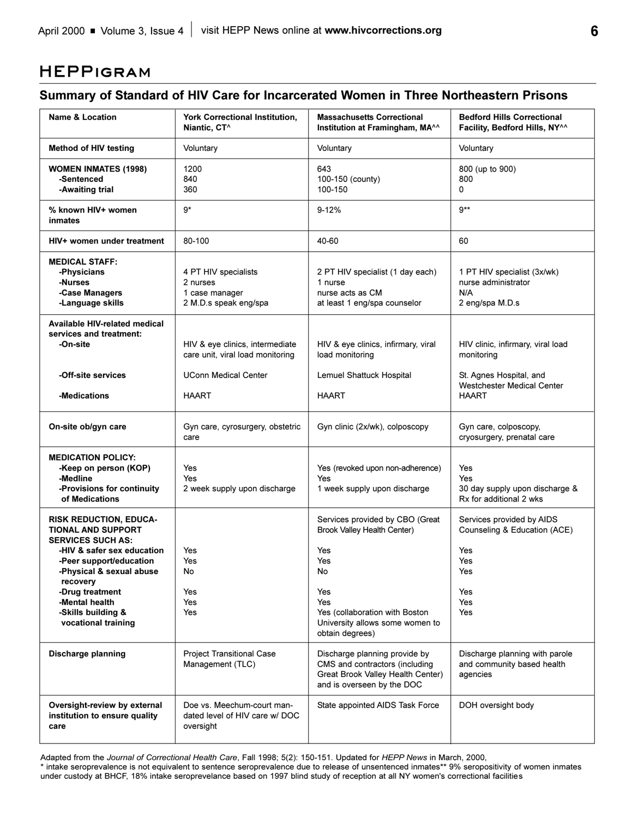# **HEPPigram**

# **Summary of Standard of HIV Care for Incarcerated Women in Three Northeastern Prisons**

| <b>Name &amp; Location</b>                                                                                                                                                                                                                                                | <b>York Correctional Institution,</b><br>Niantic, CT <sup>^</sup>           | <b>Massachusetts Correctional</b><br>Institution at Framingham, MA <sup>^^</sup>                                                                                                          | <b>Bedford Hills Correctional</b><br>Facility, Bedford Hills, NY^^                                         |
|---------------------------------------------------------------------------------------------------------------------------------------------------------------------------------------------------------------------------------------------------------------------------|-----------------------------------------------------------------------------|-------------------------------------------------------------------------------------------------------------------------------------------------------------------------------------------|------------------------------------------------------------------------------------------------------------|
| <b>Method of HIV testing</b>                                                                                                                                                                                                                                              | Voluntary                                                                   | Voluntary                                                                                                                                                                                 | Voluntary                                                                                                  |
| <b>WOMEN INMATES (1998)</b><br>-Sentenced<br>-Awaiting trial                                                                                                                                                                                                              | 1200<br>840<br>360                                                          | 643<br>100-150 (county)<br>100-150                                                                                                                                                        | 800 (up to 900)<br>800<br>$\Omega$                                                                         |
| % known HIV+ women<br>inmates                                                                                                                                                                                                                                             | g*                                                                          | $9 - 12%$                                                                                                                                                                                 | $9**$                                                                                                      |
| HIV+ women under treatment                                                                                                                                                                                                                                                | 80-100                                                                      | 40-60                                                                                                                                                                                     | 60                                                                                                         |
| <b>MEDICAL STAFF:</b><br>-Physicians<br>-Nurses<br>-Case Managers<br>-Language skills                                                                                                                                                                                     | 4 PT HIV specialists<br>2 nurses<br>1 case manager<br>2 M.D.s speak eng/spa | 2 PT HIV specialist (1 day each)<br>1 nurse<br>nurse acts as CM<br>at least 1 eng/spa counselor                                                                                           | 1 PT HIV specialist (3x/wk)<br>nurse administrator<br>N/A<br>2 eng/spa M.D.s                               |
| Available HIV-related medical<br>services and treatment:<br>-On-site                                                                                                                                                                                                      | HIV & eye clinics, intermediate<br>care unit, viral load monitoring         | HIV & eye clinics, infirmary, viral<br>load monitoring                                                                                                                                    | HIV clinic, infirmary, viral load<br>monitoring                                                            |
| -Off-site services<br>-Medications                                                                                                                                                                                                                                        | <b>UConn Medical Center</b><br><b>HAART</b>                                 | Lemuel Shattuck Hospital<br><b>HAART</b>                                                                                                                                                  | St. Agnes Hospital, and<br><b>Westchester Medical Center</b><br><b>HAART</b>                               |
| On-site ob/gyn care                                                                                                                                                                                                                                                       | Gyn care, cyrosurgery, obstetric<br>care                                    | Gyn clinic (2x/wk), colposcopy                                                                                                                                                            | Gyn care, colposcopy,<br>cryosurgery, prenatal care                                                        |
| <b>MEDICATION POLICY:</b><br>-Keep on person (KOP)<br>-Medline<br>-Provisions for continuity<br>of Medications                                                                                                                                                            | Yes<br>Yes<br>2 week supply upon discharge                                  | Yes (revoked upon non-adherence)<br>Yes<br>1 week supply upon discharge                                                                                                                   | Yes<br>Yes<br>30 day supply upon discharge &<br>Rx for additional 2 wks                                    |
| <b>RISK REDUCTION, EDUCA-</b><br><b>TIONAL AND SUPPORT</b><br><b>SERVICES SUCH AS:</b><br>-HIV & safer sex education<br>-Peer support/education<br>-Physical & sexual abuse<br>recovery<br>-Drug treatment<br>-Mental health<br>-Skills building &<br>vocational training | Yes<br>Yes<br>No<br>Yes<br>Yes<br>Yes                                       | Services provided by CBO (Great<br>Brook Valley Health Center)<br>Yes<br>Yes<br>No.<br>Yes<br>Yes<br>Yes (collaboration with Boston<br>University allows some women to<br>obtain degrees) | Services provided by AIDS<br>Counseling & Education (ACE)<br>Yes<br>Yes<br>Yes<br>Yes<br>Yes<br><b>Yes</b> |
| Discharge planning                                                                                                                                                                                                                                                        | Project Transitional Case<br>Management (TLC)                               | Discharge planning provide by<br>CMS and contractors (including<br>Great Brook Valley Health Center)<br>and is overseen by the DOC                                                        | Discharge planning with parole<br>and community based health<br>agencies                                   |
| Oversight-review by external<br>institution to ensure quality<br>care                                                                                                                                                                                                     | Doe vs. Meechum-court man-<br>dated level of HIV care w/ DOC<br>oversight   | State appointed AIDS Task Force                                                                                                                                                           | DOH oversight body                                                                                         |

Adapted from the *Journal of Correctional Health Care*, Fall 1998; 5(2): 150-151. Updated for *HEPP News* in March, 2000,

\* intake seroprevalence is not equivalent to sentence seroprevalence due to release of unsentenced inmates\*\* 9% seropositivity of women inmates under custody at BHCF, 18% intake seroprevelance based on 1997 blind study of reception at all NY women's correctional facilities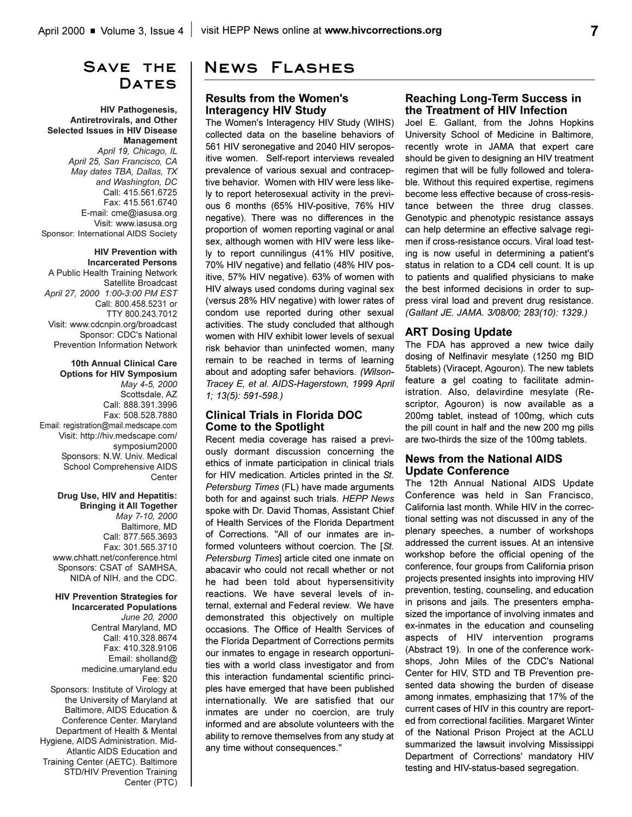# **Save the**  DATES

### **HIV Pathogenesis, Antiretrovirals, and Other Selected Issues in HIV Disease Management**

*April 19, Chicago, IL April 25, San Francisco, CA May dates TBA, Dallas, TX and Washington, DC* Call: 415.561.6725 Fax: 415.561.6740 E-mail: cme@iasusa.org Visit: www.iasusa.org Sponsor: International AIDS Society

#### **HIV Prevention with Incarcerated Persons**

A Public Health Training Network Satellite Broadcast *April 27, 2000 1:00-3:00 PM EST* Call: 800.458.5231 or TTY 800.243.7012 Visit: www.cdcnpin.org/broadcast Sponsor: CDC's National Prevention Information Network

**10th Annual Clinical Care Options for HIV Symposium** *May 4-5, 2000*  Scottsdale, AZ Call: 888.391.3996 Fax: 508.528.7880 Email: registration@mail.medscape.com Visit: http://hiv.medscape.com/ symposium2000 Sponsors: N.W. Univ. Medical School Comprehensive AIDS Center

### **Drug Use, HIV and Hepatitis: Bringing it All Together**  *May 7-10, 2000* Baltimore, MD Call: 877.565.3693 Fax: 301.565.3710 www.chhatt.net/conference.html Sponsors: CSAT of SAMHSA, NIDA of NIH, and the CDC.

**HIV Prevention Strategies for Incarcerated Populations** *June 20, 2000* Central Maryland, MD Call: 410.328.8674 Fax: 410.328.9106 Email: sholland@ medicine.umaryland.edu Fee: \$20 Sponsors: Institute of Virology at the University of Maryland at Baltimore, AIDS Education & Conference Center. Maryland Department of Health & Mental Hygiene, AIDS Administration. Mid-Atlantic AIDS Education and Training Center (AETC). Baltimore STD/HIV Prevention Training Center (PTC)

# **News Flashes**

### **Results from the Women's Interagency HIV Study**

The Women's Interagency HIV Study (WIHS) collected data on the baseline behaviors of 561 HIV seronegative and 2040 HIV seropositive women. Self-report interviews revealed prevalence of various sexual and contraceptive behavior. Women with HIV were less likely to report heterosexual activity in the previous 6 months (65% HIV-positive, 76% HIV negative). There was no differences in the proportion of women reporting vaginal or anal sex, although women with HIV were less likely to report cunnilingus (41% HIV positive, 70% HIV negative) and fellatio (48% HIV positive, 57% HIV negative). 63% of women with HIV always used condoms during vaginal sex (versus 28% HIV negative) with lower rates of condom use reported during other sexual activities. The study concluded that although women with HIV exhibit lower levels of sexual risk behavior than uninfected women, many remain to be reached in terms of learning about and adopting safer behaviors. *(Wilson-Tracey E, et al. AIDS-Hagerstown, 1999 April 1; 13(5): 591-598.)*

## **Clinical Trials in Florida DOC Come to the Spotlight**

Recent media coverage has raised a previously dormant discussion concerning the ethics of inmate participation in clinical trials for HIV medication. Articles printed in the *St. Petersburg Times* (FL) have made arguments both for and against such trials. *HEPP News* spoke with Dr. David Thomas, Assistant Chief of Health Services of the Florida Department of Corrections. "All of our inmates are informed volunteers without coercion. The [*St. Petersburg Times*] article cited one inmate on abacavir who could not recall whether or not he had been told about hypersensitivity reactions. We have several levels of internal, external and Federal review. We have demonstrated this objectively on multiple occasions. The Office of Health Services of the Florida Department of Corrections permits our inmates to engage in research opportunities with a world class investigator and from this interaction fundamental scientific principles have emerged that have been published internationally. We are satisfied that our inmates are under no coercion, are truly informed and are absolute volunteers with the ability to remove themselves from any study at any time without consequences."

### **Reaching Long-Term Success in the Treatment of HIV Infection**

Joel E. Gallant, from the Johns Hopkins University School of Medicine in Baltimore, recently wrote in JAMA that expert care should be given to designing an HIV treatment regimen that will be fully followed and tolerable. Without this required expertise, regimens become less effective because of cross-resistance between the three drug classes. Genotypic and phenotypic resistance assays can help determine an effective salvage regimen if cross-resistance occurs. Viral load testing is now useful in determining a patient's status in relation to a CD4 cell count. It is up to patients and qualified physicians to make the best informed decisions in order to suppress viral load and prevent drug resistance. *(Gallant JE. JAMA. 3/08/00; 283(10): 1329.)*

### **ART Dosing Update**

The FDA has approved a new twice daily dosing of Nelfinavir mesylate (1250 mg BID 5tablets) (Viracept, Agouron). The new tablets feature a gel coating to facilitate administration. Also, delavirdine mesylate (Rescriptor, Agouron) is now available as a 200mg tablet, instead of 100mg, which cuts the pill count in half and the new 200 mg pills are two-thirds the size of the 100mg tablets.

## **News from the National AIDS Update Conference**

The 12th Annual National AIDS Update Conference was held in San Francisco, California last month. While HIV in the correctional setting was not discussed in any of the plenary speeches, a number of workshops addressed the current issues. At an intensive workshop before the official opening of the conference, four groups from California prison projects presented insights into improving HIV prevention, testing, counseling, and education in prisons and jails. The presenters emphasized the importance of involving inmates and ex-inmates in the education and counseling aspects of HIV intervention programs (Abstract 19). In one of the conference workshops, John Miles of the CDC's National Center for HIV, STD and TB Prevention presented data showing the burden of disease among inmates, emphasizing that 17% of the current cases of HIV in this country are reported from correctional facilities. Margaret Winter of the National Prison Project at the ACLU summarized the lawsuit involving Mississippi Department of Corrections' mandatory HIV testing and HIV-status-based segregation.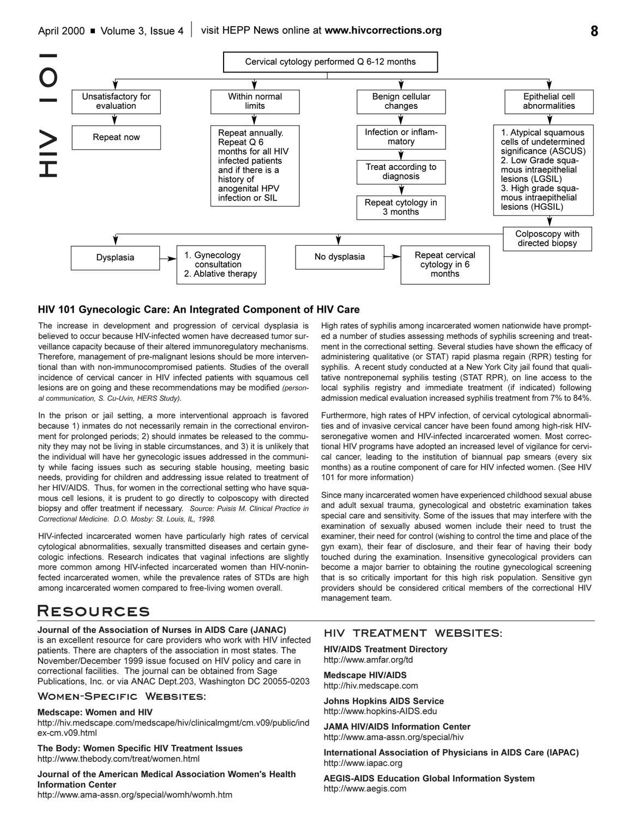

### **HIV 101 Gynecologic Care: An Integrated Component of HIV Care**

The increase in development and progression of cervical dysplasia is believed to occur because HIV-infected women have decreased tumor surveillance capacity because of their altered immunoregulatory mechanisms. Therefore, management of pre-malignant lesions should be more interventional than with non-immunocompromised patients. Studies of the overall incidence of cervical cancer in HIV infected patients with squamous cell lesions are on going and these recommendations may be modified *(personal communication, S. Cu-Uvin, HERS Study)*.

In the prison or jail setting, a more interventional approach is favored because 1) inmates do not necessarily remain in the correctional environment for prolonged periods; 2) should inmates be released to the community they may not be living in stable circumstances, and 3) it is unlikely that the individual will have her gynecologic issues addressed in the community while facing issues such as securing stable housing, meeting basic needs, providing for children and addressing issue related to treatment of her HIV/AIDS. Thus, for women in the correctional setting who have squamous cell lesions, it is prudent to go directly to colposcopy with directed biopsy and offer treatment if necessary. *Source: Puisis M. Clinical Practice in Correctional Medicine. D.O. Mosby: St. Louis, IL, 1998.*

HIV-infected incarcerated women have particularly high rates of cervical cytological abnormalities, sexually transmitted diseases and certain gynecologic infections. Research indicates that vaginal infections are slightly more common among HIV-infected incarcerated women than HIV-noninfected incarcerated women, while the prevalence rates of STDs are high among incarcerated women compared to free-living women overall.

# **Resources**

### **Journal of the Association of Nurses in AIDS Care (JANAC)**

is an excellent resource for care providers who work with HIV infected patients. There are chapters of the association in most states. The November/December 1999 issue focused on HIV policy and care in correctional facilities. The journal can be obtained from Sage Publications, Inc. or via ANAC Dept.203, Washington DC 20055-0203

**Women-Specific Websites:**

**Medscape: Women and HIV**

http://hiv.medscape.com/medscape/hiv/clinicalmgmt/cm.v09/public/ind ex-cm.v09.html

**The Body: Women Specific HIV Treatment Issues** http://www.thebody.com/treat/women.html

**Journal of the American Medical Association Women's Health Information Center** http://www.ama-assn.org/special/womh/womh.htm

High rates of syphilis among incarcerated women nationwide have prompted a number of studies assessing methods of syphilis screening and treatment in the correctional setting. Several studies have shown the efficacy of administering qualitative (or STAT) rapid plasma regain (RPR) testing for syphilis. A recent study conducted at a New York City jail found that qualitative nontreponemal syphilis testing (STAT RPR), on line access to the local syphilis registry and immediate treatment (if indicated) following admission medical evaluation increased syphilis treatment from 7% to 84%.

Furthermore, high rates of HPV infection, of cervical cytological abnormalities and of invasive cervical cancer have been found among high-risk HIVseronegative women and HIV-infected incarcerated women. Most correctional HIV programs have adopted an increased level of vigilance for cervical cancer, leading to the institution of biannual pap smears (every six months) as a routine component of care for HIV infected women. (See HIV 101 for more information)

Since many incarcerated women have experienced childhood sexual abuse and adult sexual trauma, gynecological and obstetric examination takes special care and sensitivity. Some of the issues that may interfere with the examination of sexually abused women include their need to trust the examiner, their need for control (wishing to control the time and place of the gyn exam), their fear of disclosure, and their fear of having their body touched during the examination. Insensitive gynecological providers can become a major barrier to obtaining the routine gynecological screening that is so critically important for this high risk population. Sensitive gyn providers should be considered critical members of the correctional HIV management team.

## **HIV TREATMENT WEBSITES:**

**HIV/AIDS Treatment Directory**  http://www.amfar.org/td

**Medscape HIV/AIDS** http://hiv.medscape.com

**Johns Hopkins AIDS Service** http://www.hopkins-AIDS.edu

**JAMA HIV/AIDS Information Center** http://www.ama-assn.org/special/hiv

**International Association of Physicians in AIDS Care (IAPAC)** http://www.iapac.org

**AEGIS-AIDS Education Global Information System** http://www.aegis.com